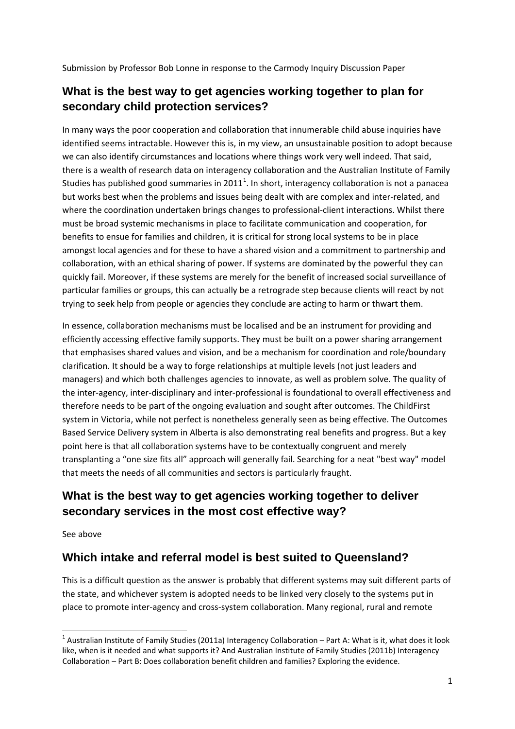Submission by Professor Bob Lonne in response to the Carmody Inquiry Discussion Paper

#### **What is the best way to get agencies working together to plan for secondary child protection services?**

In many ways the poor cooperation and collaboration that innumerable child abuse inquiries have identified seems intractable. However this is, in my view, an unsustainable position to adopt because we can also identify circumstances and locations where things work very well indeed. That said, there is a wealth of research data on interagency collaboration and the Australian Institute of Family Studies has published good summaries in 20[1](#page-0-0)1<sup>1</sup>. In short, interagency collaboration is not a panacea but works best when the problems and issues being dealt with are complex and inter-related, and where the coordination undertaken brings changes to professional-client interactions. Whilst there must be broad systemic mechanisms in place to facilitate communication and cooperation, for benefits to ensue for families and children, it is critical for strong local systems to be in place amongst local agencies and for these to have a shared vision and a commitment to partnership and collaboration, with an ethical sharing of power. If systems are dominated by the powerful they can quickly fail. Moreover, if these systems are merely for the benefit of increased social surveillance of particular families or groups, this can actually be a retrograde step because clients will react by not trying to seek help from people or agencies they conclude are acting to harm or thwart them.

In essence, collaboration mechanisms must be localised and be an instrument for providing and efficiently accessing effective family supports. They must be built on a power sharing arrangement that emphasises shared values and vision, and be a mechanism for coordination and role/boundary clarification. It should be a way to forge relationships at multiple levels (not just leaders and managers) and which both challenges agencies to innovate, as well as problem solve. The quality of the inter‐agency, inter‐disciplinary and inter‐professional is foundational to overall effectiveness and therefore needs to be part of the ongoing evaluation and sought after outcomes. The ChildFirst system in Victoria, while not perfect is nonetheless generally seen as being effective. The Outcomes Based Service Delivery system in Alberta is also demonstrating real benefits and progress. But a key point here is that all collaboration systems have to be contextually congruent and merely transplanting a "one size fits all" approach will generally fail. Searching for a neat "best way" model that meets the needs of all communities and sectors is particularly fraught.

### **What is the best way to get agencies working together to deliver secondary services in the most cost effective way?**

See above

#### **Which intake and referral model is best suited to Queensland?**

This is a difficult question as the answer is probably that different systems may suit different parts of the state, and whichever system is adopted needs to be linked very closely to the systems put in place to promote inter‐agency and cross‐system collaboration. Many regional, rural and remote

<span id="page-0-1"></span><span id="page-0-0"></span> $1$  Australian Institute of Family Studies (2011a) Interagency Collaboration – Part A: What is it, what does it look like, when is it needed and what supports it? And Australian Institute of Family Studies (2011b) Interagency Collaboration – Part B: Does collaboration benefit children and families? Exploring the evidence.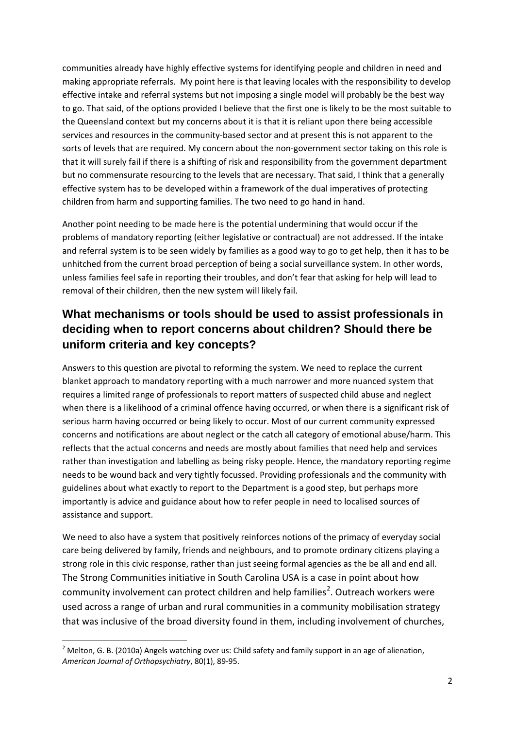communities already have highly effective systems for identifying people and children in need and making appropriate referrals. My point here is that leaving locales with the responsibility to develop effective intake and referral systems but not imposing a single model will probably be the best way to go. That said, of the options provided I believe that the first one is likely to be the most suitable to the Queensland context but my concerns about it is that it is reliant upon there being accessible services and resources in the community-based sector and at present this is not apparent to the sorts of levels that are required. My concern about the non-government sector taking on this role is that it will surely fail if there is a shifting of risk and responsibility from the government department but no commensurate resourcing to the levels that are necessary. That said, I think that a generally effective system has to be developed within a framework of the dual imperatives of protecting children from harm and supporting families. The two need to go hand in hand.

Another point needing to be made here is the potential undermining that would occur if the problems of mandatory reporting (either legislative or contractual) are not addressed. If the intake and referral system is to be seen widely by families as a good way to go to get help, then it has to be unhitched from the current broad perception of being a social surveillance system. In other words, unless families feel safe in reporting their troubles, and don't fear that asking for help will lead to removal of their children, then the new system will likely fail.

### **What mechanisms or tools should be used to assist professionals in deciding when to report concerns about children? Should there be uniform criteria and key concepts?**

Answers to this question are pivotal to reforming the system. We need to replace the current blanket approach to mandatory reporting with a much narrower and more nuanced system that requires a limited range of professionals to report matters of suspected child abuse and neglect when there is a likelihood of a criminal offence having occurred, or when there is a significant risk of serious harm having occurred or being likely to occur. Most of our current community expressed concerns and notifications are about neglect or the catch all category of emotional abuse/harm. This reflects that the actual concerns and needs are mostly about families that need help and services rather than investigation and labelling as being risky people. Hence, the mandatory reporting regime needs to be wound back and very tightly focussed. Providing professionals and the community with guidelines about what exactly to report to the Department is a good step, but perhaps more importantly is advice and guidance about how to refer people in need to localised sources of assistance and support.

We need to also have a system that positively reinforces notions of the primacy of everyday social care being delivered by family, friends and neighbours, and to promote ordinary citizens playing a strong role in this civic response, rather than just seeing formal agencies as the be all and end all. The Strong Communities initiative in South Carolina USA is a case in point about how community involvement can protect children and help families<sup>[2](#page-0-1)</sup>. Outreach workers were used across a range of urban and rural communities in a community mobilisation strategy that was inclusive of the broad diversity found in them, including involvement of churches,

<span id="page-1-0"></span><sup>&</sup>lt;sup>2</sup> Melton, G. B. (2010a) Angels watching over us: Child safety and family support in an age of alienation, *American Journal of Orthopsychiatry*, 80(1), 89‐95.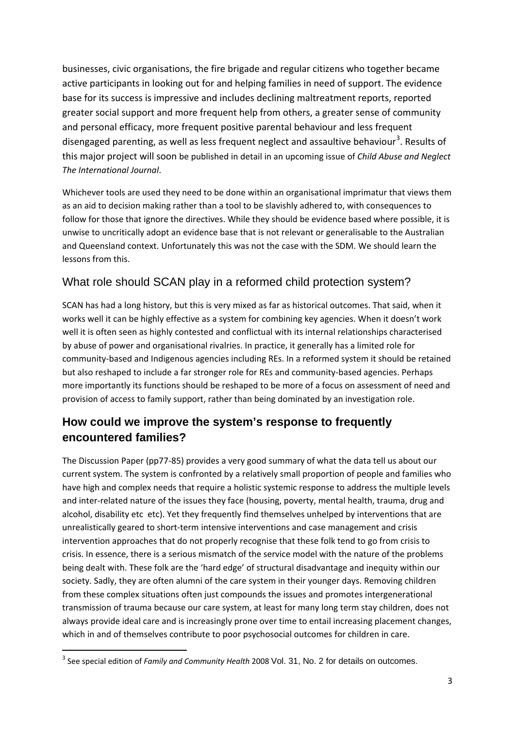businesses, civic organisations, the fire brigade and regular citizens who together became active participants in looking out for and helping families in need of support. The evidence base for its success is impressive and includes declining maltreatment reports, reported greater social support and more frequent help from others, a greater sense of community and personal efficacy, more frequent positive parental behaviour and less frequent disengaged parenting, as well as less frequent neglect and assaultive behaviour<sup>[3](#page-1-0)</sup>. Results of this major project will soon be published in detail in an upcoming issue of *Child Abuse and Neglect The International Journal*.

Whichever tools are used they need to be done within an organisational imprimatur that views them as an aid to decision making rather than a tool to be slavishly adhered to, with consequences to follow for those that ignore the directives. While they should be evidence based where possible, it is unwise to uncritically adopt an evidence base that is not relevant or generalisable to the Australian and Queensland context. Unfortunately this was not the case with the SDM. We should learn the lessons from this.

#### What role should SCAN play in a reformed child protection system?

SCAN has had a long history, but this is very mixed as far as historical outcomes. That said, when it works well it can be highly effective as a system for combining key agencies. When it doesn't work well it is often seen as highly contested and conflictual with its internal relationships characterised by abuse of power and organisational rivalries. In practice, it generally has a limited role for community‐based and Indigenous agencies including REs. In a reformed system it should be retained but also reshaped to include a far stronger role for REs and community‐based agencies. Perhaps more importantly its functions should be reshaped to be more of a focus on assessment of need and provision of access to family support, rather than being dominated by an investigation role.

#### **How could we improve the system's response to frequently encountered families?**

The Discussion Paper (pp77‐85) provides a very good summary of what the data tell us about our current system. The system is confronted by a relatively small proportion of people and families who have high and complex needs that require a holistic systemic response to address the multiple levels and inter-related nature of the issues they face (housing, poverty, mental health, trauma, drug and alcohol, disability etc etc). Yet they frequently find themselves unhelped by interventions that are unrealistically geared to short‐term intensive interventions and case management and crisis intervention approaches that do not properly recognise that these folk tend to go from crisis to crisis. In essence, there is a serious mismatch of the service model with the nature of the problems being dealt with. These folk are the 'hard edge' of structural disadvantage and inequity within our society. Sadly, they are often alumni of the care system in their younger days. Removing children from these complex situations often just compounds the issues and promotes intergenerational transmission of trauma because our care system, at least for many long term stay children, does not always provide ideal care and is increasingly prone over time to entail increasing placement changes, which in and of themselves contribute to poor psychosocial outcomes for children in care.

<sup>3</sup> See special edition of *Family and Community Health* 2008 Vol. 31, No. 2 for details on outcomes.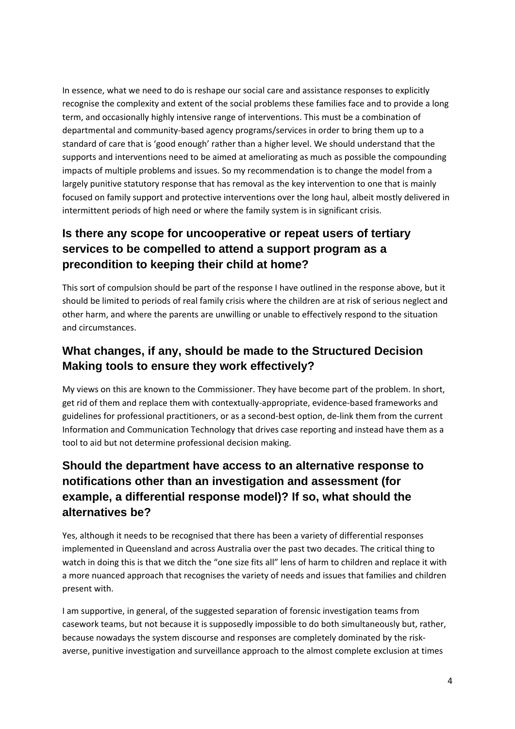In essence, what we need to do is reshape our social care and assistance responses to explicitly recognise the complexity and extent of the social problems these families face and to provide a long term, and occasionally highly intensive range of interventions. This must be a combination of departmental and community‐based agency programs/services in order to bring them up to a standard of care that is 'good enough' rather than a higher level. We should understand that the supports and interventions need to be aimed at ameliorating as much as possible the compounding impacts of multiple problems and issues. So my recommendation is to change the model from a largely punitive statutory response that has removal as the key intervention to one that is mainly focused on family support and protective interventions over the long haul, albeit mostly delivered in intermittent periods of high need or where the family system is in significant crisis.

### **Is there any scope for uncooperative or repeat users of tertiary services to be compelled to attend a support program as a precondition to keeping their child at home?**

This sort of compulsion should be part of the response I have outlined in the response above, but it should be limited to periods of real family crisis where the children are at risk of serious neglect and other harm, and where the parents are unwilling or unable to effectively respond to the situation and circumstances.

#### **What changes, if any, should be made to the Structured Decision Making tools to ensure they work effectively?**

My views on this are known to the Commissioner. They have become part of the problem. In short, get rid of them and replace them with contextually-appropriate, evidence-based frameworks and guidelines for professional practitioners, or as a second-best option, de-link them from the current Information and Communication Technology that drives case reporting and instead have them as a tool to aid but not determine professional decision making.

### **Should the department have access to an alternative response to notifications other than an investigation and assessment (for example, a differential response model)? If so, what should the alternatives be?**

Yes, although it needs to be recognised that there has been a variety of differential responses implemented in Queensland and across Australia over the past two decades. The critical thing to watch in doing this is that we ditch the "one size fits all" lens of harm to children and replace it with a more nuanced approach that recognises the variety of needs and issues that families and children present with.

I am supportive, in general, of the suggested separation of forensic investigation teams from casework teams, but not because it is supposedly impossible to do both simultaneously but, rather, because nowadays the system discourse and responses are completely dominated by the risk‐ averse, punitive investigation and surveillance approach to the almost complete exclusion at times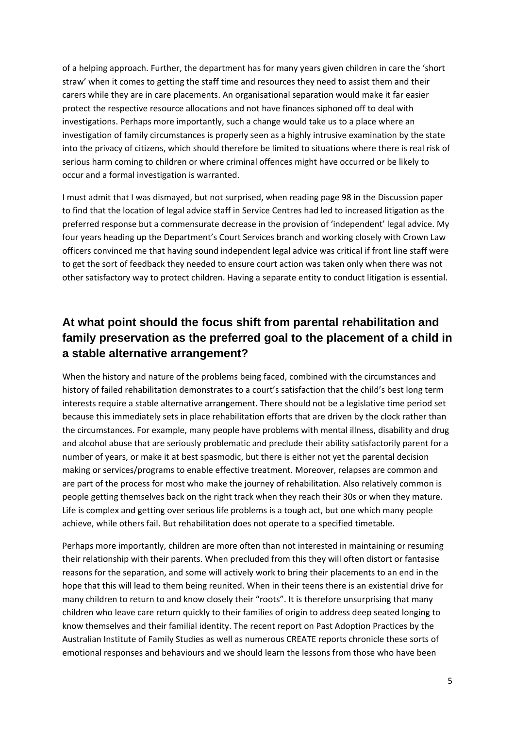of a helping approach. Further, the department has for many years given children in care the 'short straw' when it comes to getting the staff time and resources they need to assist them and their carers while they are in care placements. An organisational separation would make it far easier protect the respective resource allocations and not have finances siphoned off to deal with investigations. Perhaps more importantly, such a change would take us to a place where an investigation of family circumstances is properly seen as a highly intrusive examination by the state into the privacy of citizens, which should therefore be limited to situations where there is real risk of serious harm coming to children or where criminal offences might have occurred or be likely to occur and a formal investigation is warranted.

I must admit that I was dismayed, but not surprised, when reading page 98 in the Discussion paper to find that the location of legal advice staff in Service Centres had led to increased litigation as the preferred response but a commensurate decrease in the provision of 'independent' legal advice. My four years heading up the Department's Court Services branch and working closely with Crown Law officers convinced me that having sound independent legal advice was critical if front line staff were to get the sort of feedback they needed to ensure court action was taken only when there was not other satisfactory way to protect children. Having a separate entity to conduct litigation is essential.

#### **At what point should the focus shift from parental rehabilitation and family preservation as the preferred goal to the placement of a child in a stable alternative arrangement?**

When the history and nature of the problems being faced, combined with the circumstances and history of failed rehabilitation demonstrates to a court's satisfaction that the child's best long term interests require a stable alternative arrangement. There should not be a legislative time period set because this immediately sets in place rehabilitation efforts that are driven by the clock rather than the circumstances. For example, many people have problems with mental illness, disability and drug and alcohol abuse that are seriously problematic and preclude their ability satisfactorily parent for a number of years, or make it at best spasmodic, but there is either not yet the parental decision making or services/programs to enable effective treatment. Moreover, relapses are common and are part of the process for most who make the journey of rehabilitation. Also relatively common is people getting themselves back on the right track when they reach their 30s or when they mature. Life is complex and getting over serious life problems is a tough act, but one which many people achieve, while others fail. But rehabilitation does not operate to a specified timetable.

Perhaps more importantly, children are more often than not interested in maintaining or resuming their relationship with their parents. When precluded from this they will often distort or fantasise reasons for the separation, and some will actively work to bring their placements to an end in the hope that this will lead to them being reunited. When in their teens there is an existential drive for many children to return to and know closely their "roots". It is therefore unsurprising that many children who leave care return quickly to their families of origin to address deep seated longing to know themselves and their familial identity. The recent report on Past Adoption Practices by the Australian Institute of Family Studies as well as numerous CREATE reports chronicle these sorts of emotional responses and behaviours and we should learn the lessons from those who have been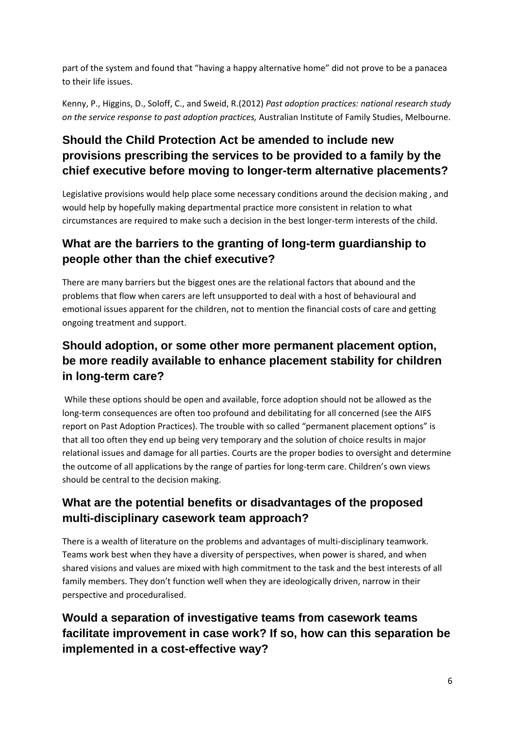part of the system and found that "having a happy alternative home" did not prove to be a panacea to their life issues.

Kenny, P., Higgins, D., Soloff, C., and Sweid, R.(2012) *Past adoption practices: national research study on the service response to past adoption practices,* Australian Institute of Family Studies, Melbourne.

# **Should the Child Protection Act be amended to include new provisions prescribing the services to be provided to a family by the chief executive before moving to longer-term alternative placements?**

Legislative provisions would help place some necessary conditions around the decision making , and would help by hopefully making departmental practice more consistent in relation to what circumstances are required to make such a decision in the best longer‐term interests of the child.

### **What are the barriers to the granting of long-term guardianship to people other than the chief executive?**

There are many barriers but the biggest ones are the relational factors that abound and the problems that flow when carers are left unsupported to deal with a host of behavioural and emotional issues apparent for the children, not to mention the financial costs of care and getting ongoing treatment and support.

# **Should adoption, or some other more permanent placement option, be more readily available to enhance placement stability for children in long-term care?**

While these options should be open and available, force adoption should not be allowed as the long‐term consequences are often too profound and debilitating for all concerned (see the AIFS report on Past Adoption Practices). The trouble with so called "permanent placement options" is that all too often they end up being very temporary and the solution of choice results in major relational issues and damage for all parties. Courts are the proper bodies to oversight and determine the outcome of all applications by the range of parties for long‐term care. Children's own views should be central to the decision making.

### **What are the potential benefits or disadvantages of the proposed multi-disciplinary casework team approach?**

There is a wealth of literature on the problems and advantages of multi‐disciplinary teamwork. Teams work best when they have a diversity of perspectives, when power is shared, and when shared visions and values are mixed with high commitment to the task and the best interests of all family members. They don't function well when they are ideologically driven, narrow in their perspective and proceduralised.

# **Would a separation of investigative teams from casework teams facilitate improvement in case work? If so, how can this separation be implemented in a cost-effective way?**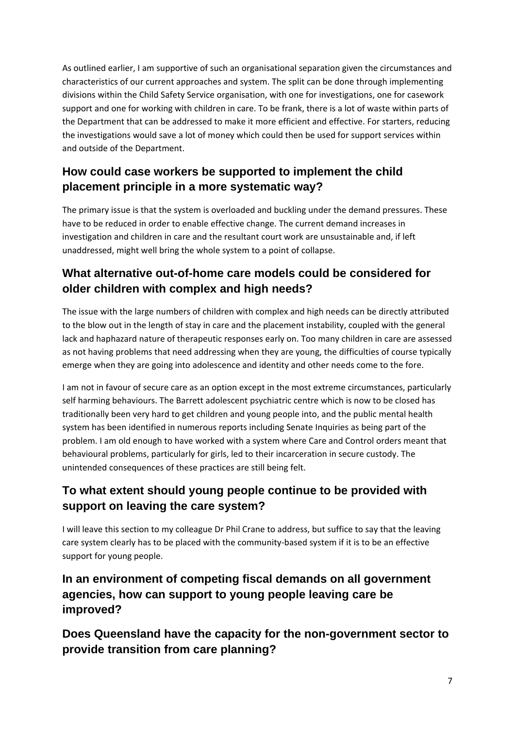As outlined earlier, I am supportive of such an organisational separation given the circumstances and characteristics of our current approaches and system. The split can be done through implementing divisions within the Child Safety Service organisation, with one for investigations, one for casework support and one for working with children in care. To be frank, there is a lot of waste within parts of the Department that can be addressed to make it more efficient and effective. For starters, reducing the investigations would save a lot of money which could then be used for support services within and outside of the Department.

### **How could case workers be supported to implement the child placement principle in a more systematic way?**

The primary issue is that the system is overloaded and buckling under the demand pressures. These have to be reduced in order to enable effective change. The current demand increases in investigation and children in care and the resultant court work are unsustainable and, if left unaddressed, might well bring the whole system to a point of collapse.

### **What alternative out-of-home care models could be considered for older children with complex and high needs?**

The issue with the large numbers of children with complex and high needs can be directly attributed to the blow out in the length of stay in care and the placement instability, coupled with the general lack and haphazard nature of therapeutic responses early on. Too many children in care are assessed as not having problems that need addressing when they are young, the difficulties of course typically emerge when they are going into adolescence and identity and other needs come to the fore.

I am not in favour of secure care as an option except in the most extreme circumstances, particularly self harming behaviours. The Barrett adolescent psychiatric centre which is now to be closed has traditionally been very hard to get children and young people into, and the public mental health system has been identified in numerous reports including Senate Inquiries as being part of the problem. I am old enough to have worked with a system where Care and Control orders meant that behavioural problems, particularly for girls, led to their incarceration in secure custody. The unintended consequences of these practices are still being felt.

### **To what extent should young people continue to be provided with support on leaving the care system?**

I will leave this section to my colleague Dr Phil Crane to address, but suffice to say that the leaving care system clearly has to be placed with the community-based system if it is to be an effective support for young people.

### **In an environment of competing fiscal demands on all government agencies, how can support to young people leaving care be improved?**

**Does Queensland have the capacity for the non-government sector to provide transition from care planning?**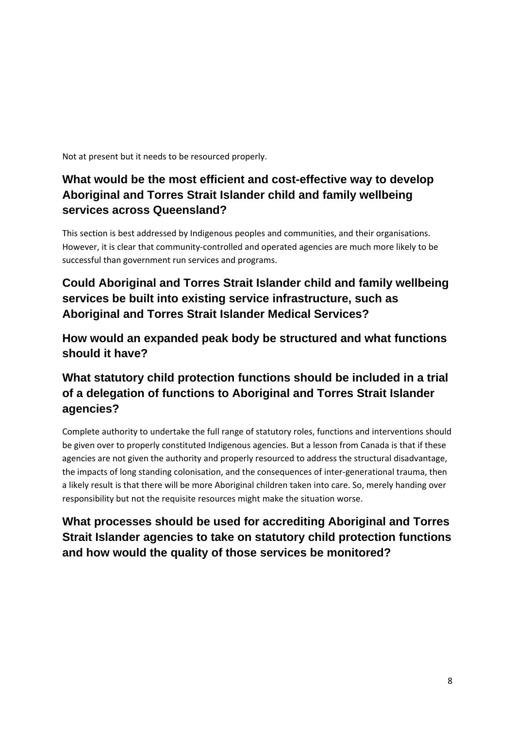Not at present but it needs to be resourced properly.

## **What would be the most efficient and cost-effective way to develop Aboriginal and Torres Strait Islander child and family wellbeing services across Queensland?**

This section is best addressed by Indigenous peoples and communities, and their organisations. However, it is clear that community‐controlled and operated agencies are much more likely to be successful than government run services and programs.

### **Could Aboriginal and Torres Strait Islander child and family wellbeing services be built into existing service infrastructure, such as Aboriginal and Torres Strait Islander Medical Services?**

**How would an expanded peak body be structured and what functions should it have?**

## **What statutory child protection functions should be included in a trial of a delegation of functions to Aboriginal and Torres Strait Islander agencies?**

Complete authority to undertake the full range of statutory roles, functions and interventions should be given over to properly constituted Indigenous agencies. But a lesson from Canada is that if these agencies are not given the authority and properly resourced to address the structural disadvantage, the impacts of long standing colonisation, and the consequences of inter-generational trauma, then a likely result is that there will be more Aboriginal children taken into care. So, merely handing over responsibility but not the requisite resources might make the situation worse.

### **What processes should be used for accrediting Aboriginal and Torres Strait Islander agencies to take on statutory child protection functions and how would the quality of those services be monitored?**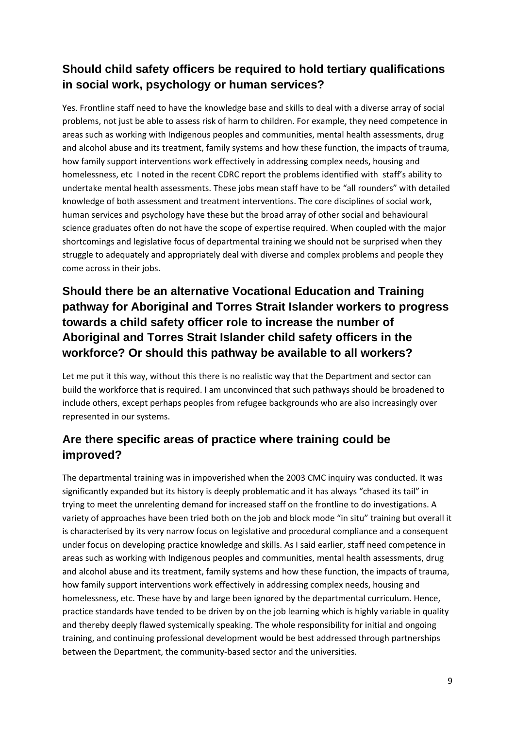# **Should child safety officers be required to hold tertiary qualifications in social work, psychology or human services?**

Yes. Frontline staff need to have the knowledge base and skills to deal with a diverse array of social problems, not just be able to assess risk of harm to children. For example, they need competence in areas such as working with Indigenous peoples and communities, mental health assessments, drug and alcohol abuse and its treatment, family systems and how these function, the impacts of trauma, how family support interventions work effectively in addressing complex needs, housing and homelessness, etc I noted in the recent CDRC report the problems identified with staff's ability to undertake mental health assessments. These jobs mean staff have to be "all rounders" with detailed knowledge of both assessment and treatment interventions. The core disciplines of social work, human services and psychology have these but the broad array of other social and behavioural science graduates often do not have the scope of expertise required. When coupled with the major shortcomings and legislative focus of departmental training we should not be surprised when they struggle to adequately and appropriately deal with diverse and complex problems and people they come across in their jobs.

### **Should there be an alternative Vocational Education and Training pathway for Aboriginal and Torres Strait Islander workers to progress towards a child safety officer role to increase the number of Aboriginal and Torres Strait Islander child safety officers in the workforce? Or should this pathway be available to all workers?**

Let me put it this way, without this there is no realistic way that the Department and sector can build the workforce that is required. I am unconvinced that such pathways should be broadened to include others, except perhaps peoples from refugee backgrounds who are also increasingly over represented in our systems.

### **Are there specific areas of practice where training could be improved?**

The departmental training was in impoverished when the 2003 CMC inquiry was conducted. It was significantly expanded but its history is deeply problematic and it has always "chased its tail" in trying to meet the unrelenting demand for increased staff on the frontline to do investigations. A variety of approaches have been tried both on the job and block mode "in situ" training but overall it is characterised by its very narrow focus on legislative and procedural compliance and a consequent under focus on developing practice knowledge and skills. As I said earlier, staff need competence in areas such as working with Indigenous peoples and communities, mental health assessments, drug and alcohol abuse and its treatment, family systems and how these function, the impacts of trauma, how family support interventions work effectively in addressing complex needs, housing and homelessness, etc. These have by and large been ignored by the departmental curriculum. Hence, practice standards have tended to be driven by on the job learning which is highly variable in quality and thereby deeply flawed systemically speaking. The whole responsibility for initial and ongoing training, and continuing professional development would be best addressed through partnerships between the Department, the community‐based sector and the universities.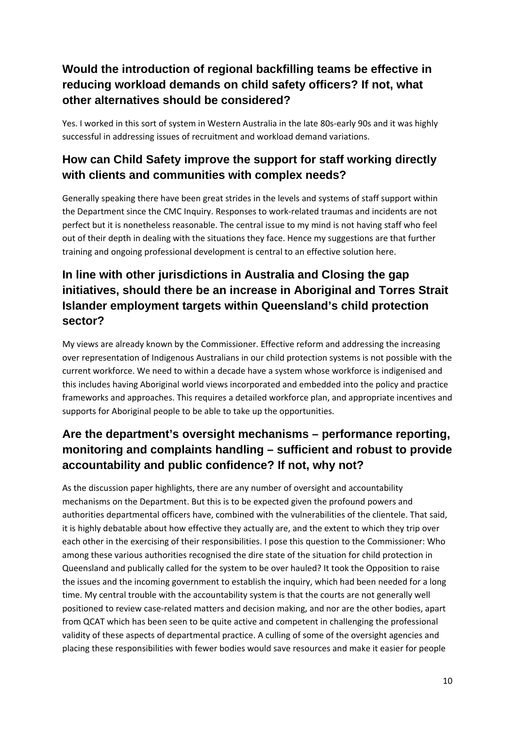### **Would the introduction of regional backfilling teams be effective in reducing workload demands on child safety officers? If not, what other alternatives should be considered?**

Yes. I worked in this sort of system in Western Australia in the late 80s-early 90s and it was highly successful in addressing issues of recruitment and workload demand variations.

### **How can Child Safety improve the support for staff working directly with clients and communities with complex needs?**

Generally speaking there have been great strides in the levels and systems of staff support within the Department since the CMC Inquiry. Responses to work-related traumas and incidents are not perfect but it is nonetheless reasonable. The central issue to my mind is not having staff who feel out of their depth in dealing with the situations they face. Hence my suggestions are that further training and ongoing professional development is central to an effective solution here.

# **In line with other jurisdictions in Australia and Closing the gap initiatives, should there be an increase in Aboriginal and Torres Strait Islander employment targets within Queensland's child protection sector?**

My views are already known by the Commissioner. Effective reform and addressing the increasing over representation of Indigenous Australians in our child protection systems is not possible with the current workforce. We need to within a decade have a system whose workforce is indigenised and this includes having Aboriginal world views incorporated and embedded into the policy and practice frameworks and approaches. This requires a detailed workforce plan, and appropriate incentives and supports for Aboriginal people to be able to take up the opportunities.

# **Are the department's oversight mechanisms – performance reporting, monitoring and complaints handling – sufficient and robust to provide accountability and public confidence? If not, why not?**

As the discussion paper highlights, there are any number of oversight and accountability mechanisms on the Department. But this is to be expected given the profound powers and authorities departmental officers have, combined with the vulnerabilities of the clientele. That said, it is highly debatable about how effective they actually are, and the extent to which they trip over each other in the exercising of their responsibilities. I pose this question to the Commissioner: Who among these various authorities recognised the dire state of the situation for child protection in Queensland and publically called for the system to be over hauled? It took the Opposition to raise the issues and the incoming government to establish the inquiry, which had been needed for a long time. My central trouble with the accountability system is that the courts are not generally well positioned to review case‐related matters and decision making, and nor are the other bodies, apart from QCAT which has been seen to be quite active and competent in challenging the professional validity of these aspects of departmental practice. A culling of some of the oversight agencies and placing these responsibilities with fewer bodies would save resources and make it easier for people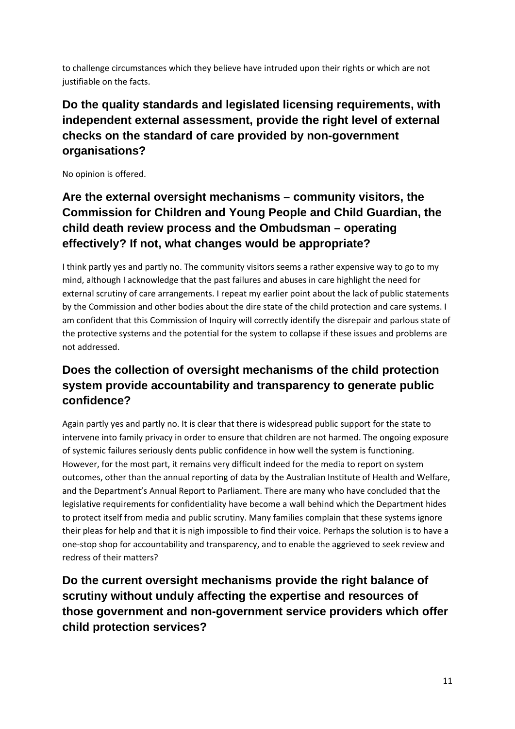to challenge circumstances which they believe have intruded upon their rights or which are not justifiable on the facts.

# **Do the quality standards and legislated licensing requirements, with independent external assessment, provide the right level of external checks on the standard of care provided by non-government organisations?**

No opinion is offered.

# **Are the external oversight mechanisms – community visitors, the Commission for Children and Young People and Child Guardian, the child death review process and the Ombudsman – operating effectively? If not, what changes would be appropriate?**

I think partly yes and partly no. The community visitors seems a rather expensive way to go to my mind, although I acknowledge that the past failures and abuses in care highlight the need for external scrutiny of care arrangements. I repeat my earlier point about the lack of public statements by the Commission and other bodies about the dire state of the child protection and care systems. I am confident that this Commission of Inquiry will correctly identify the disrepair and parlous state of the protective systems and the potential for the system to collapse if these issues and problems are not addressed.

# **Does the collection of oversight mechanisms of the child protection system provide accountability and transparency to generate public confidence?**

Again partly yes and partly no. It is clear that there is widespread public support for the state to intervene into family privacy in order to ensure that children are not harmed. The ongoing exposure of systemic failures seriously dents public confidence in how well the system is functioning. However, for the most part, it remains very difficult indeed for the media to report on system outcomes, other than the annual reporting of data by the Australian Institute of Health and Welfare, and the Department's Annual Report to Parliament. There are many who have concluded that the legislative requirements for confidentiality have become a wall behind which the Department hides to protect itself from media and public scrutiny. Many families complain that these systems ignore their pleas for help and that it is nigh impossible to find their voice. Perhaps the solution is to have a one‐stop shop for accountability and transparency, and to enable the aggrieved to seek review and redress of their matters?

**Do the current oversight mechanisms provide the right balance of scrutiny without unduly affecting the expertise and resources of those government and non-government service providers which offer child protection services?**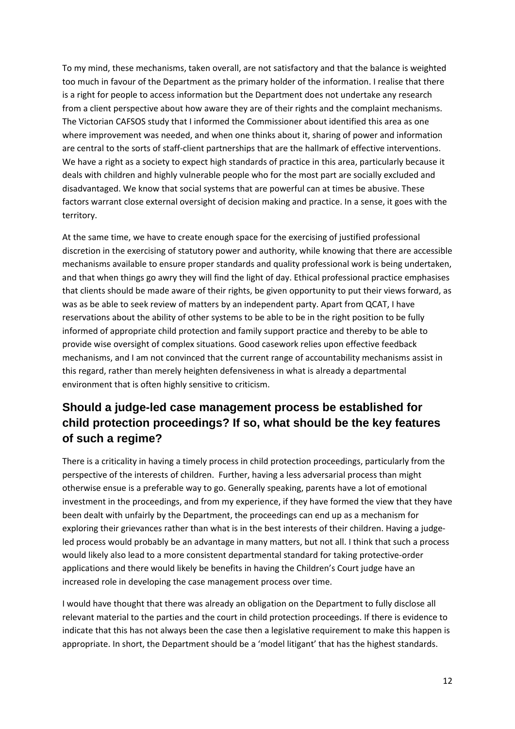To my mind, these mechanisms, taken overall, are not satisfactory and that the balance is weighted too much in favour of the Department as the primary holder of the information. I realise that there is a right for people to access information but the Department does not undertake any research from a client perspective about how aware they are of their rights and the complaint mechanisms. The Victorian CAFSOS study that I informed the Commissioner about identified this area as one where improvement was needed, and when one thinks about it, sharing of power and information are central to the sorts of staff‐client partnerships that are the hallmark of effective interventions. We have a right as a society to expect high standards of practice in this area, particularly because it deals with children and highly vulnerable people who for the most part are socially excluded and disadvantaged. We know that social systems that are powerful can at times be abusive. These factors warrant close external oversight of decision making and practice. In a sense, it goes with the territory.

At the same time, we have to create enough space for the exercising of justified professional discretion in the exercising of statutory power and authority, while knowing that there are accessible mechanisms available to ensure proper standards and quality professional work is being undertaken, and that when things go awry they will find the light of day. Ethical professional practice emphasises that clients should be made aware of their rights, be given opportunity to put their views forward, as was as be able to seek review of matters by an independent party. Apart from QCAT, I have reservations about the ability of other systems to be able to be in the right position to be fully informed of appropriate child protection and family support practice and thereby to be able to provide wise oversight of complex situations. Good casework relies upon effective feedback mechanisms, and I am not convinced that the current range of accountability mechanisms assist in this regard, rather than merely heighten defensiveness in what is already a departmental environment that is often highly sensitive to criticism.

#### **Should a judge-led case management process be established for child protection proceedings? If so, what should be the key features of such a regime?**

There is a criticality in having a timely process in child protection proceedings, particularly from the perspective of the interests of children. Further, having a less adversarial process than might otherwise ensue is a preferable way to go. Generally speaking, parents have a lot of emotional investment in the proceedings, and from my experience, if they have formed the view that they have been dealt with unfairly by the Department, the proceedings can end up as a mechanism for exploring their grievances rather than what is in the best interests of their children. Having a judge‐ led process would probably be an advantage in many matters, but not all. I think that such a process would likely also lead to a more consistent departmental standard for taking protective‐order applications and there would likely be benefits in having the Children's Court judge have an increased role in developing the case management process over time.

I would have thought that there was already an obligation on the Department to fully disclose all relevant material to the parties and the court in child protection proceedings. If there is evidence to indicate that this has not always been the case then a legislative requirement to make this happen is appropriate. In short, the Department should be a 'model litigant' that has the highest standards.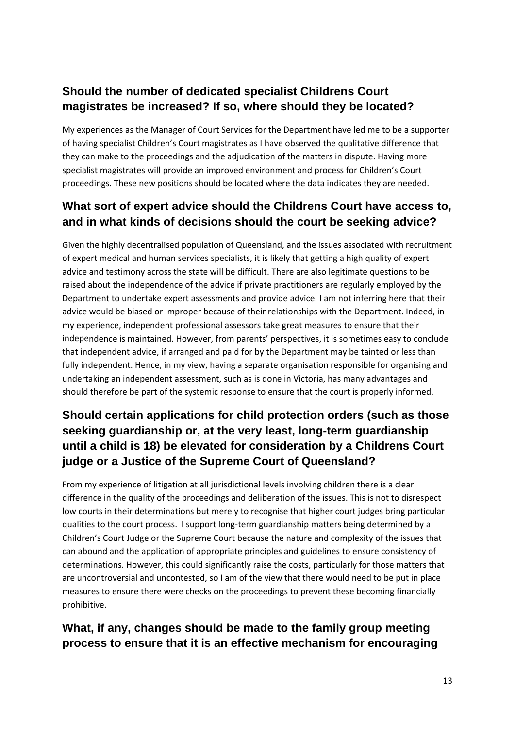# **Should the number of dedicated specialist Childrens Court magistrates be increased? If so, where should they be located?**

My experiences as the Manager of Court Services for the Department have led me to be a supporter of having specialist Children's Court magistrates as I have observed the qualitative difference that they can make to the proceedings and the adjudication of the matters in dispute. Having more specialist magistrates will provide an improved environment and process for Children's Court proceedings. These new positions should be located where the data indicates they are needed.

#### **What sort of expert advice should the Childrens Court have access to, and in what kinds of decisions should the court be seeking advice?**

Given the highly decentralised population of Queensland, and the issues associated with recruitment of expert medical and human services specialists, it is likely that getting a high quality of expert advice and testimony across the state will be difficult. There are also legitimate questions to be raised about the independence of the advice if private practitioners are regularly employed by the Department to undertake expert assessments and provide advice. I am not inferring here that their advice would be biased or improper because of their relationships with the Department. Indeed, in my experience, independent professional assessors take great measures to ensure that their independence is maintained. However, from parents' perspectives, it is sometimes easy to conclude that independent advice, if arranged and paid for by the Department may be tainted or less than fully independent. Hence, in my view, having a separate organisation responsible for organising and undertaking an independent assessment, such as is done in Victoria, has many advantages and should therefore be part of the systemic response to ensure that the court is properly informed.

### **Should certain applications for child protection orders (such as those seeking guardianship or, at the very least, long-term guardianship until a child is 18) be elevated for consideration by a Childrens Court judge or a Justice of the Supreme Court of Queensland?**

From my experience of litigation at all jurisdictional levels involving children there is a clear difference in the quality of the proceedings and deliberation of the issues. This is not to disrespect low courts in their determinations but merely to recognise that higher court judges bring particular qualities to the court process. I support long‐term guardianship matters being determined by a Children's Court Judge or the Supreme Court because the nature and complexity of the issues that can abound and the application of appropriate principles and guidelines to ensure consistency of determinations. However, this could significantly raise the costs, particularly for those matters that are uncontroversial and uncontested, so I am of the view that there would need to be put in place measures to ensure there were checks on the proceedings to prevent these becoming financially prohibitive.

### **What, if any, changes should be made to the family group meeting process to ensure that it is an effective mechanism for encouraging**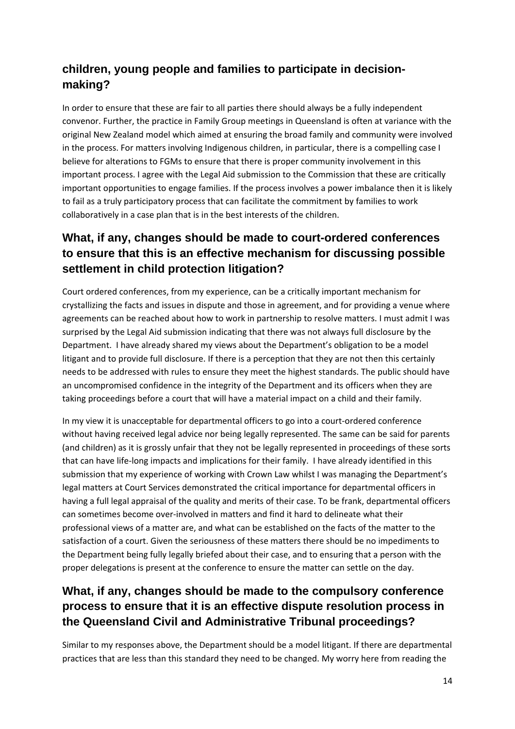## **children, young people and families to participate in decisionmaking?**

In order to ensure that these are fair to all parties there should always be a fully independent convenor. Further, the practice in Family Group meetings in Queensland is often at variance with the original New Zealand model which aimed at ensuring the broad family and community were involved in the process. For matters involving Indigenous children, in particular, there is a compelling case I believe for alterations to FGMs to ensure that there is proper community involvement in this important process. I agree with the Legal Aid submission to the Commission that these are critically important opportunities to engage families. If the process involves a power imbalance then it is likely to fail as a truly participatory process that can facilitate the commitment by families to work collaboratively in a case plan that is in the best interests of the children.

### **What, if any, changes should be made to court-ordered conferences to ensure that this is an effective mechanism for discussing possible settlement in child protection litigation?**

Court ordered conferences, from my experience, can be a critically important mechanism for crystallizing the facts and issues in dispute and those in agreement, and for providing a venue where agreements can be reached about how to work in partnership to resolve matters. I must admit I was surprised by the Legal Aid submission indicating that there was not always full disclosure by the Department. I have already shared my views about the Department's obligation to be a model litigant and to provide full disclosure. If there is a perception that they are not then this certainly needs to be addressed with rules to ensure they meet the highest standards. The public should have an uncompromised confidence in the integrity of the Department and its officers when they are taking proceedings before a court that will have a material impact on a child and their family.

In my view it is unacceptable for departmental officers to go into a court-ordered conference without having received legal advice nor being legally represented. The same can be said for parents (and children) as it is grossly unfair that they not be legally represented in proceedings of these sorts that can have life‐long impacts and implications for their family. I have already identified in this submission that my experience of working with Crown Law whilst I was managing the Department's legal matters at Court Services demonstrated the critical importance for departmental officers in having a full legal appraisal of the quality and merits of their case. To be frank, departmental officers can sometimes become over‐involved in matters and find it hard to delineate what their professional views of a matter are, and what can be established on the facts of the matter to the satisfaction of a court. Given the seriousness of these matters there should be no impediments to the Department being fully legally briefed about their case, and to ensuring that a person with the proper delegations is present at the conference to ensure the matter can settle on the day.

### **What, if any, changes should be made to the compulsory conference process to ensure that it is an effective dispute resolution process in the Queensland Civil and Administrative Tribunal proceedings?**

Similar to my responses above, the Department should be a model litigant. If there are departmental practices that are less than this standard they need to be changed. My worry here from reading the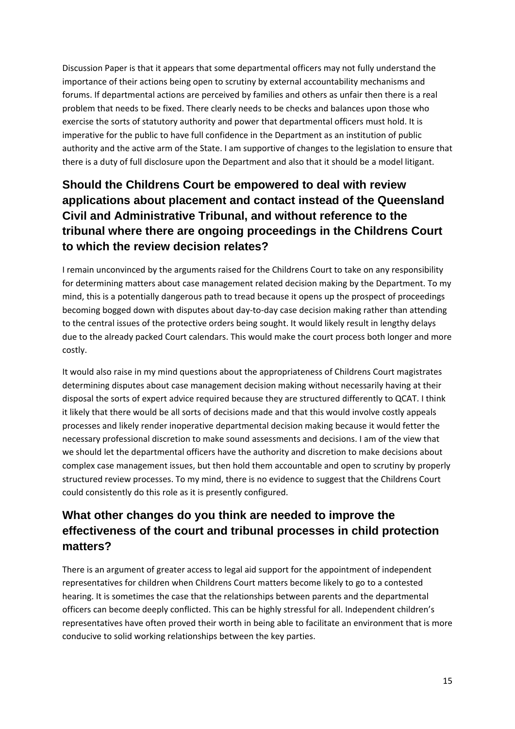Discussion Paper is that it appears that some departmental officers may not fully understand the importance of their actions being open to scrutiny by external accountability mechanisms and forums. If departmental actions are perceived by families and others as unfair then there is a real problem that needs to be fixed. There clearly needs to be checks and balances upon those who exercise the sorts of statutory authority and power that departmental officers must hold. It is imperative for the public to have full confidence in the Department as an institution of public authority and the active arm of the State. I am supportive of changes to the legislation to ensure that there is a duty of full disclosure upon the Department and also that it should be a model litigant.

## **Should the Childrens Court be empowered to deal with review applications about placement and contact instead of the Queensland Civil and Administrative Tribunal, and without reference to the tribunal where there are ongoing proceedings in the Childrens Court to which the review decision relates?**

I remain unconvinced by the arguments raised for the Childrens Court to take on any responsibility for determining matters about case management related decision making by the Department. To my mind, this is a potentially dangerous path to tread because it opens up the prospect of proceedings becoming bogged down with disputes about day‐to‐day case decision making rather than attending to the central issues of the protective orders being sought. It would likely result in lengthy delays due to the already packed Court calendars. This would make the court process both longer and more costly.

It would also raise in my mind questions about the appropriateness of Childrens Court magistrates determining disputes about case management decision making without necessarily having at their disposal the sorts of expert advice required because they are structured differently to QCAT. I think it likely that there would be all sorts of decisions made and that this would involve costly appeals processes and likely render inoperative departmental decision making because it would fetter the necessary professional discretion to make sound assessments and decisions. I am of the view that we should let the departmental officers have the authority and discretion to make decisions about complex case management issues, but then hold them accountable and open to scrutiny by properly structured review processes. To my mind, there is no evidence to suggest that the Childrens Court could consistently do this role as it is presently configured.

### **What other changes do you think are needed to improve the effectiveness of the court and tribunal processes in child protection matters?**

There is an argument of greater access to legal aid support for the appointment of independent representatives for children when Childrens Court matters become likely to go to a contested hearing. It is sometimes the case that the relationships between parents and the departmental officers can become deeply conflicted. This can be highly stressful for all. Independent children's representatives have often proved their worth in being able to facilitate an environment that is more conducive to solid working relationships between the key parties.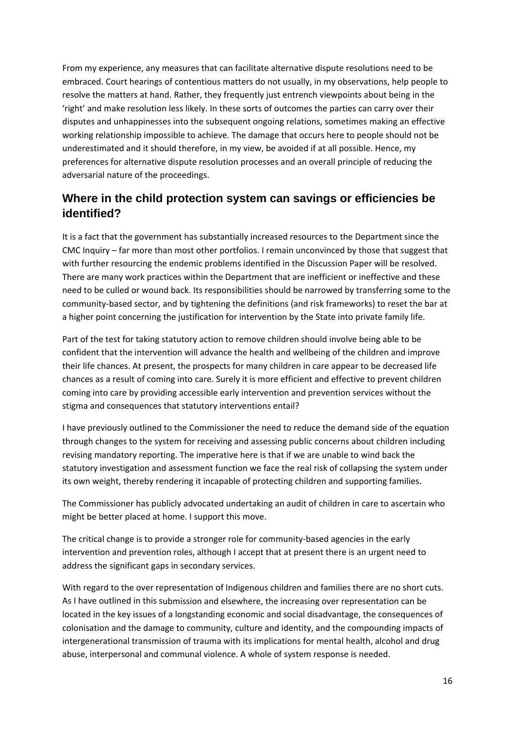From my experience, any measures that can facilitate alternative dispute resolutions need to be embraced. Court hearings of contentious matters do not usually, in my observations, help people to resolve the matters at hand. Rather, they frequently just entrench viewpoints about being in the 'right' and make resolution less likely. In these sorts of outcomes the parties can carry over their disputes and unhappinesses into the subsequent ongoing relations, sometimes making an effective working relationship impossible to achieve. The damage that occurs here to people should not be underestimated and it should therefore, in my view, be avoided if at all possible. Hence, my preferences for alternative dispute resolution processes and an overall principle of reducing the adversarial nature of the proceedings.

#### **Where in the child protection system can savings or efficiencies be identified?**

It is a fact that the government has substantially increased resources to the Department since the CMC Inquiry – far more than most other portfolios. I remain unconvinced by those that suggest that with further resourcing the endemic problems identified in the Discussion Paper will be resolved. There are many work practices within the Department that are inefficient or ineffective and these need to be culled or wound back. Its responsibilities should be narrowed by transferring some to the community-based sector, and by tightening the definitions (and risk frameworks) to reset the bar at a higher point concerning the justification for intervention by the State into private family life.

Part of the test for taking statutory action to remove children should involve being able to be confident that the intervention will advance the health and wellbeing of the children and improve their life chances. At present, the prospects for many children in care appear to be decreased life chances as a result of coming into care. Surely it is more efficient and effective to prevent children coming into care by providing accessible early intervention and prevention services without the stigma and consequences that statutory interventions entail?

I have previously outlined to the Commissioner the need to reduce the demand side of the equation through changes to the system for receiving and assessing public concerns about children including revising mandatory reporting. The imperative here is that if we are unable to wind back the statutory investigation and assessment function we face the real risk of collapsing the system under its own weight, thereby rendering it incapable of protecting children and supporting families.

The Commissioner has publicly advocated undertaking an audit of children in care to ascertain who might be better placed at home. I support this move.

The critical change is to provide a stronger role for community‐based agencies in the early intervention and prevention roles, although I accept that at present there is an urgent need to address the significant gaps in secondary services.

With regard to the over representation of Indigenous children and families there are no short cuts. As I have outlined in this submission and elsewhere, the increasing over representation can be located in the key issues of a longstanding economic and social disadvantage, the consequences of colonisation and the damage to community, culture and identity, and the compounding impacts of intergenerational transmission of trauma with its implications for mental health, alcohol and drug abuse, interpersonal and communal violence. A whole of system response is needed.